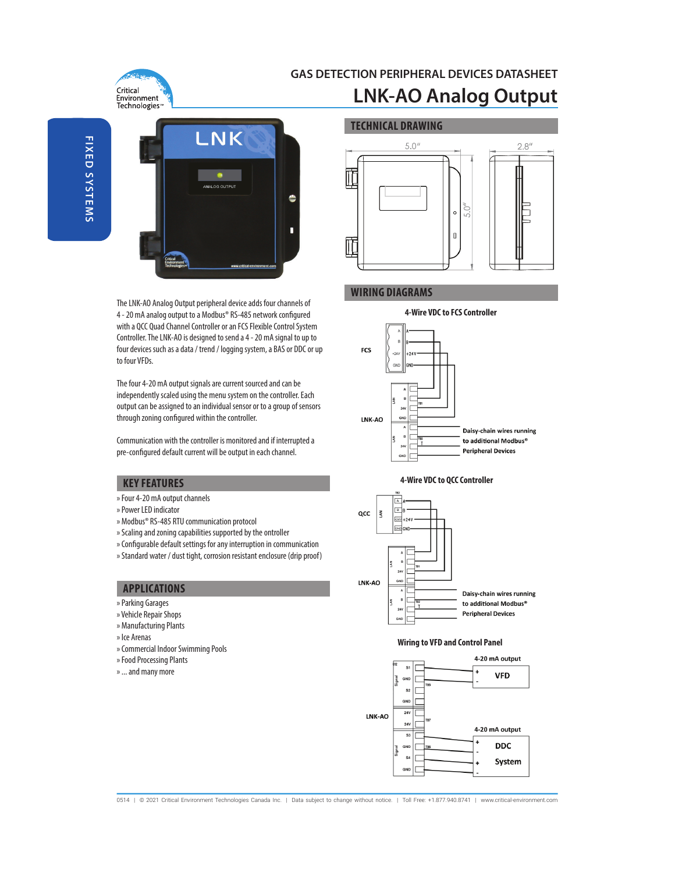

# **GAS DETECTION PERIPHERAL DEVICES DATASHEET LNK-AO Analog Output**



The LNK-AO Analog Output peripheral device adds four channels of 4 - 20 mA analog output to a Modbus® RS-485 network configured with a QCC Quad Channel Controller or an FCS Flexible Control System Controller. The LNK-AO is designed to send a 4 - 20 mA signal to up to four devices such as a data / trend / logging system, a BAS or DDC or up to four VFDs.

The four 4-20 mA output signals are current sourced and can be independently scaled using the menu system on the controller. Each output can be assigned to an individual sensor or to a group of sensors through zoning configured within the controller.

Communication with the controller is monitored and if interrupted a pre-configured default current will be output in each channel.

## **KEY FEATURES**

- » Four 4-20 mA output channels
- » Power LED indicator
- » Modbus® RS-485 RTU communication protocol
- » Scaling and zoning capabilities supported by the ontroller
- » Configurable default settings for any interruption in communication
- » Standard water / dust tight, corrosion resistant enclosure (drip proof)

# **APPLICATIONS**

- » Parking Garages
- » Vehicle Repair Shops
- » Manufacturing Plants
- » Ice Arenas
- » Commercial Indoor Swimming Pools
- » Food Processing Plants
- » ... and many more



# **WIRING DIAGRAMS**







#### **Wiring to VFD and Control Panel**



0514 | © 2021 Critical Environment Technologies Canada Inc. | Data subject to change without notice. | Toll Free: +1.877.940.8741 | www.critical-environment.com